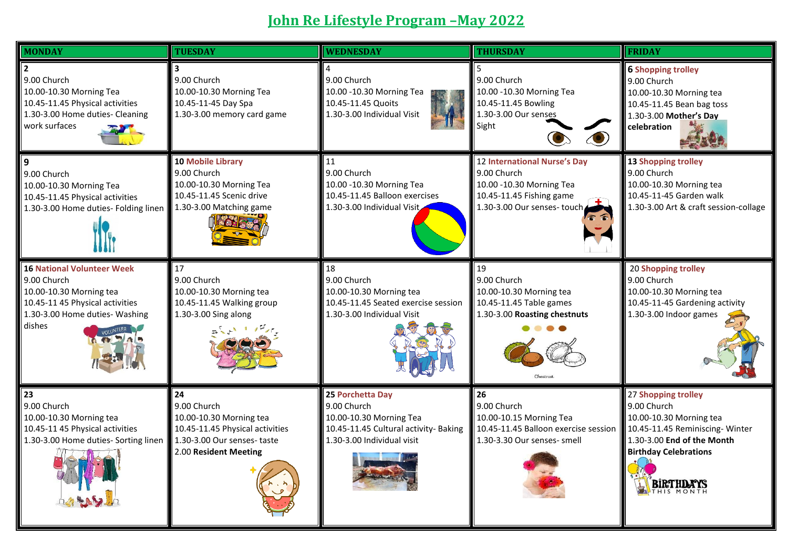## **John Re Lifestyle Program –May 2022**